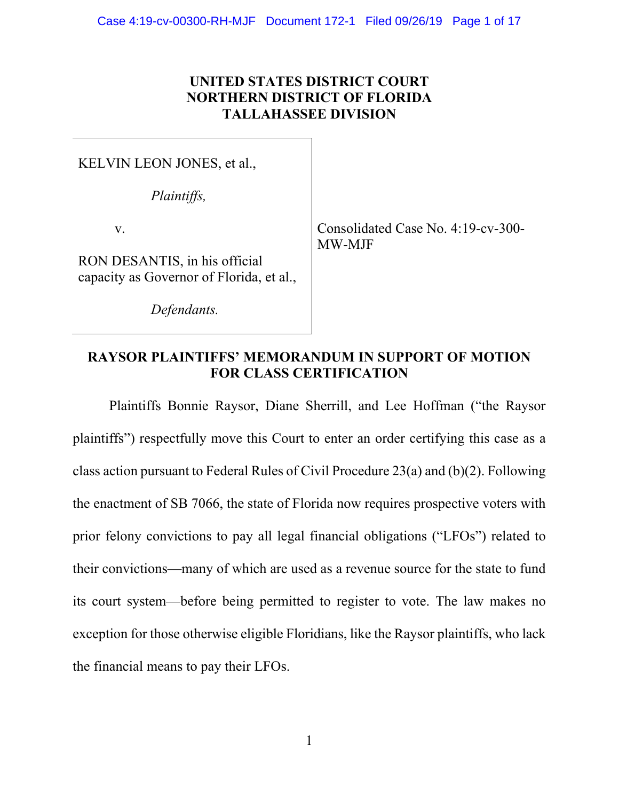## **UNITED STATES DISTRICT COURT NORTHERN DISTRICT OF FLORIDA TALLAHASSEE DIVISION**

KELVIN LEON JONES, et al.,

*Plaintiffs,* 

v.

RON DESANTIS, in his official capacity as Governor of Florida, et al.,

 *Defendants.* 

Consolidated Case No. 4:19-cv-300- MW-MJF

# **RAYSOR PLAINTIFFS' MEMORANDUM IN SUPPORT OF MOTION FOR CLASS CERTIFICATION**

 Plaintiffs Bonnie Raysor, Diane Sherrill, and Lee Hoffman ("the Raysor plaintiffs") respectfully move this Court to enter an order certifying this case as a class action pursuant to Federal Rules of Civil Procedure 23(a) and (b)(2). Following the enactment of SB 7066, the state of Florida now requires prospective voters with prior felony convictions to pay all legal financial obligations ("LFOs") related to their convictions—many of which are used as a revenue source for the state to fund its court system—before being permitted to register to vote. The law makes no exception for those otherwise eligible Floridians, like the Raysor plaintiffs, who lack the financial means to pay their LFOs.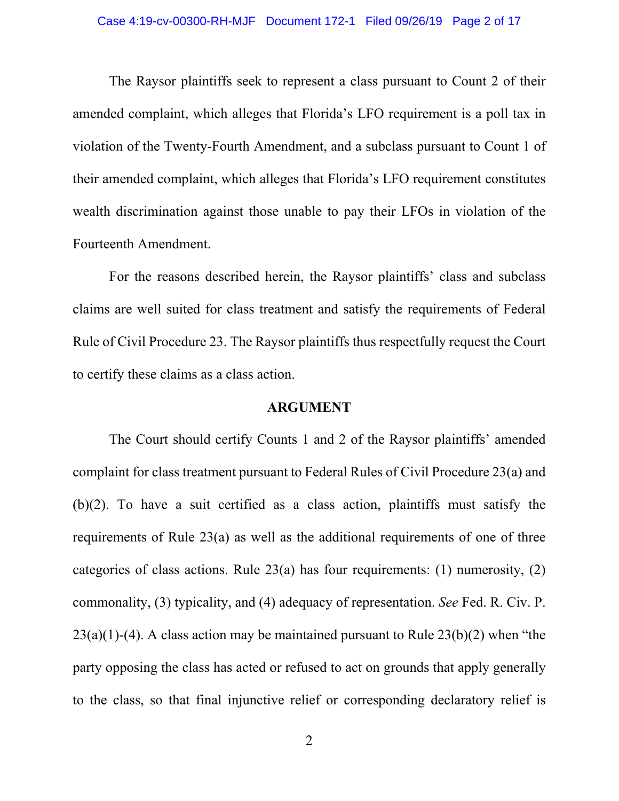The Raysor plaintiffs seek to represent a class pursuant to Count 2 of their amended complaint, which alleges that Florida's LFO requirement is a poll tax in violation of the Twenty-Fourth Amendment, and a subclass pursuant to Count 1 of their amended complaint, which alleges that Florida's LFO requirement constitutes wealth discrimination against those unable to pay their LFOs in violation of the Fourteenth Amendment.

 For the reasons described herein, the Raysor plaintiffs' class and subclass claims are well suited for class treatment and satisfy the requirements of Federal Rule of Civil Procedure 23. The Raysor plaintiffs thus respectfully request the Court to certify these claims as a class action.

#### **ARGUMENT**

 The Court should certify Counts 1 and 2 of the Raysor plaintiffs' amended complaint for class treatment pursuant to Federal Rules of Civil Procedure 23(a) and (b)(2). To have a suit certified as a class action, plaintiffs must satisfy the requirements of Rule 23(a) as well as the additional requirements of one of three categories of class actions. Rule  $23(a)$  has four requirements: (1) numerosity, (2) commonality, (3) typicality, and (4) adequacy of representation. *See* Fed. R. Civ. P.  $23(a)(1)-(4)$ . A class action may be maintained pursuant to Rule  $23(b)(2)$  when "the party opposing the class has acted or refused to act on grounds that apply generally to the class, so that final injunctive relief or corresponding declaratory relief is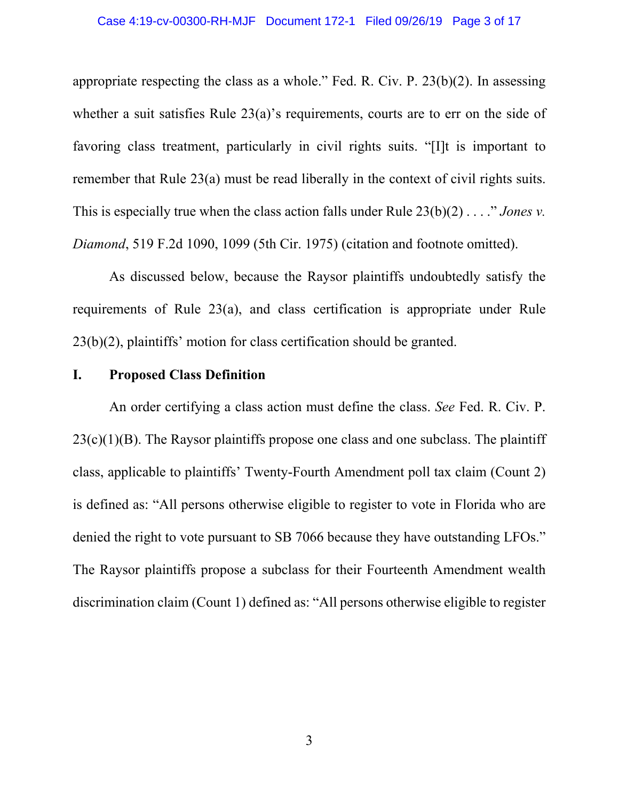appropriate respecting the class as a whole." Fed. R. Civ. P. 23(b)(2). In assessing whether a suit satisfies Rule 23(a)'s requirements, courts are to err on the side of favoring class treatment, particularly in civil rights suits. "[I]t is important to remember that Rule 23(a) must be read liberally in the context of civil rights suits. This is especially true when the class action falls under Rule 23(b)(2) . . . ." *Jones v. Diamond*, 519 F.2d 1090, 1099 (5th Cir. 1975) (citation and footnote omitted).

 As discussed below, because the Raysor plaintiffs undoubtedly satisfy the requirements of Rule 23(a), and class certification is appropriate under Rule 23(b)(2), plaintiffs' motion for class certification should be granted.

## **I. Proposed Class Definition**

 An order certifying a class action must define the class. *See* Fed. R. Civ. P.  $23(c)(1)(B)$ . The Raysor plaintiffs propose one class and one subclass. The plaintiff class, applicable to plaintiffs' Twenty-Fourth Amendment poll tax claim (Count 2) is defined as: "All persons otherwise eligible to register to vote in Florida who are denied the right to vote pursuant to SB 7066 because they have outstanding LFOs." The Raysor plaintiffs propose a subclass for their Fourteenth Amendment wealth discrimination claim (Count 1) defined as: "All persons otherwise eligible to register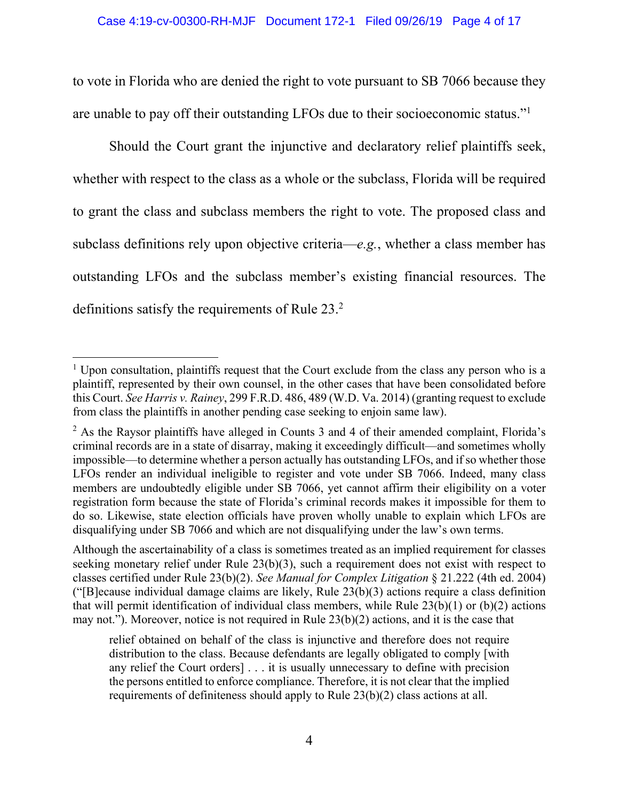to vote in Florida who are denied the right to vote pursuant to SB 7066 because they are unable to pay off their outstanding LFOs due to their socioeconomic status."1

 Should the Court grant the injunctive and declaratory relief plaintiffs seek, whether with respect to the class as a whole or the subclass, Florida will be required to grant the class and subclass members the right to vote. The proposed class and subclass definitions rely upon objective criteria—*e.g.*, whether a class member has outstanding LFOs and the subclass member's existing financial resources. The definitions satisfy the requirements of Rule 23.<sup>2</sup>

 $\overline{a}$ 

Although the ascertainability of a class is sometimes treated as an implied requirement for classes seeking monetary relief under Rule 23(b)(3), such a requirement does not exist with respect to classes certified under Rule 23(b)(2). *See Manual for Complex Litigation* § 21.222 (4th ed. 2004) ("[B]ecause individual damage claims are likely, Rule 23(b)(3) actions require a class definition that will permit identification of individual class members, while Rule 23(b)(1) or (b)(2) actions may not."). Moreover, notice is not required in Rule 23(b)(2) actions, and it is the case that

 $<sup>1</sup>$  Upon consultation, plaintiffs request that the Court exclude from the class any person who is a</sup> plaintiff, represented by their own counsel, in the other cases that have been consolidated before this Court. *See Harris v. Rainey*, 299 F.R.D. 486, 489 (W.D. Va. 2014) (granting request to exclude from class the plaintiffs in another pending case seeking to enjoin same law).

 $2$  As the Raysor plaintiffs have alleged in Counts 3 and 4 of their amended complaint, Florida's criminal records are in a state of disarray, making it exceedingly difficult—and sometimes wholly impossible—to determine whether a person actually has outstanding LFOs, and if so whether those LFOs render an individual ineligible to register and vote under SB 7066. Indeed, many class members are undoubtedly eligible under SB 7066, yet cannot affirm their eligibility on a voter registration form because the state of Florida's criminal records makes it impossible for them to do so. Likewise, state election officials have proven wholly unable to explain which LFOs are disqualifying under SB 7066 and which are not disqualifying under the law's own terms.

relief obtained on behalf of the class is injunctive and therefore does not require distribution to the class. Because defendants are legally obligated to comply [with any relief the Court orders] . . . it is usually unnecessary to define with precision the persons entitled to enforce compliance. Therefore, it is not clear that the implied requirements of definiteness should apply to Rule 23(b)(2) class actions at all.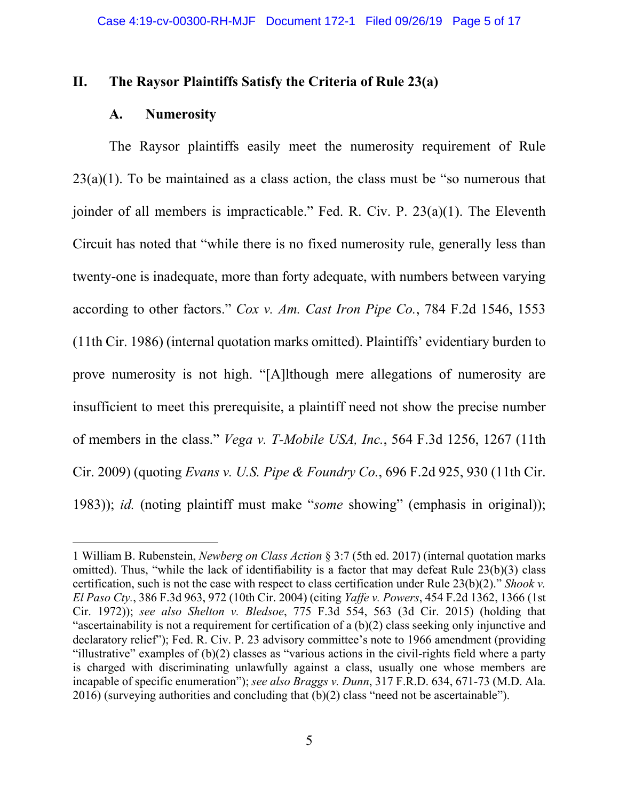### **II. The Raysor Plaintiffs Satisfy the Criteria of Rule 23(a)**

#### **A. Numerosity**

 $\overline{a}$ 

The Raysor plaintiffs easily meet the numerosity requirement of Rule  $23(a)(1)$ . To be maintained as a class action, the class must be "so numerous that joinder of all members is impracticable." Fed. R. Civ. P. 23(a)(1). The Eleventh Circuit has noted that "while there is no fixed numerosity rule, generally less than twenty-one is inadequate, more than forty adequate, with numbers between varying according to other factors." *Cox v. Am. Cast Iron Pipe Co.*, 784 F.2d 1546, 1553 (11th Cir. 1986) (internal quotation marks omitted). Plaintiffs' evidentiary burden to prove numerosity is not high. "[A]lthough mere allegations of numerosity are insufficient to meet this prerequisite, a plaintiff need not show the precise number of members in the class." *Vega v. T-Mobile USA, Inc.*, 564 F.3d 1256, 1267 (11th Cir. 2009) (quoting *Evans v. U.S. Pipe & Foundry Co.*, 696 F.2d 925, 930 (11th Cir. 1983)); *id.* (noting plaintiff must make "*some* showing" (emphasis in original));

<sup>1</sup> William B. Rubenstein, *Newberg on Class Action* § 3:7 (5th ed. 2017) (internal quotation marks omitted). Thus, "while the lack of identifiability is a factor that may defeat Rule 23(b)(3) class certification, such is not the case with respect to class certification under Rule 23(b)(2)." *Shook v. El Paso Cty.*, 386 F.3d 963, 972 (10th Cir. 2004) (citing *Yaffe v. Powers*, 454 F.2d 1362, 1366 (1st Cir. 1972)); *see also Shelton v. Bledsoe*, 775 F.3d 554, 563 (3d Cir. 2015) (holding that "ascertainability is not a requirement for certification of a (b)(2) class seeking only injunctive and declaratory relief"); Fed. R. Civ. P. 23 advisory committee's note to 1966 amendment (providing "illustrative" examples of (b)(2) classes as "various actions in the civil-rights field where a party is charged with discriminating unlawfully against a class, usually one whose members are incapable of specific enumeration"); *see also Braggs v. Dunn*, 317 F.R.D. 634, 671-73 (M.D. Ala. 2016) (surveying authorities and concluding that (b)(2) class "need not be ascertainable").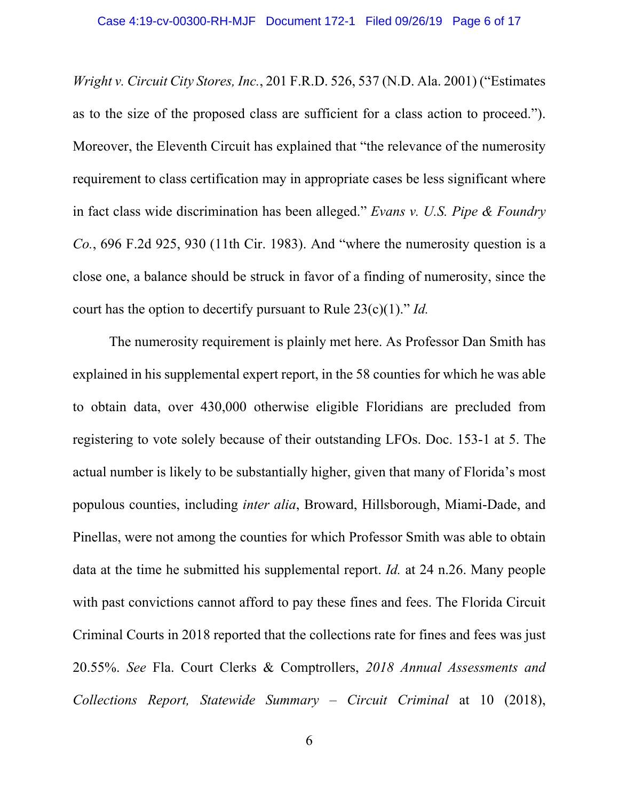*Wright v. Circuit City Stores, Inc.*, 201 F.R.D. 526, 537 (N.D. Ala. 2001) ("Estimates as to the size of the proposed class are sufficient for a class action to proceed."). Moreover, the Eleventh Circuit has explained that "the relevance of the numerosity requirement to class certification may in appropriate cases be less significant where in fact class wide discrimination has been alleged." *Evans v. U.S. Pipe & Foundry Co.*, 696 F.2d 925, 930 (11th Cir. 1983). And "where the numerosity question is a close one, a balance should be struck in favor of a finding of numerosity, since the court has the option to decertify pursuant to Rule 23(c)(1)." *Id.*

 The numerosity requirement is plainly met here. As Professor Dan Smith has explained in his supplemental expert report, in the 58 counties for which he was able to obtain data, over 430,000 otherwise eligible Floridians are precluded from registering to vote solely because of their outstanding LFOs. Doc. 153-1 at 5. The actual number is likely to be substantially higher, given that many of Florida's most populous counties, including *inter alia*, Broward, Hillsborough, Miami-Dade, and Pinellas, were not among the counties for which Professor Smith was able to obtain data at the time he submitted his supplemental report. *Id.* at 24 n.26. Many people with past convictions cannot afford to pay these fines and fees. The Florida Circuit Criminal Courts in 2018 reported that the collections rate for fines and fees was just 20.55%. *See* Fla. Court Clerks & Comptrollers, *2018 Annual Assessments and Collections Report, Statewide Summary – Circuit Criminal* at 10 (2018),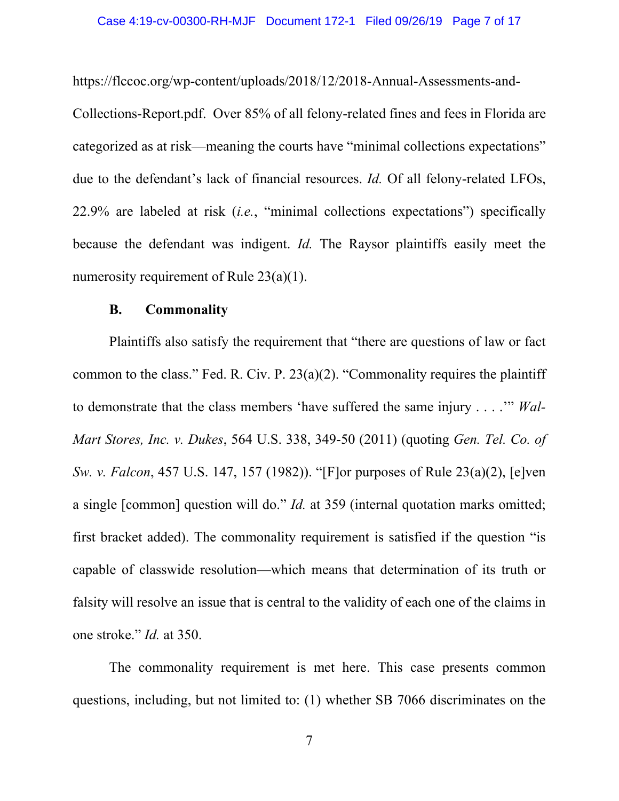https://flccoc.org/wp-content/uploads/2018/12/2018-Annual-Assessments-and-Collections-Report.pdf. Over 85% of all felony-related fines and fees in Florida are categorized as at risk—meaning the courts have "minimal collections expectations" due to the defendant's lack of financial resources. *Id.* Of all felony-related LFOs, 22.9% are labeled at risk (*i.e.*, "minimal collections expectations") specifically because the defendant was indigent. *Id.* The Raysor plaintiffs easily meet the numerosity requirement of Rule 23(a)(1).

#### **B. Commonality**

 Plaintiffs also satisfy the requirement that "there are questions of law or fact common to the class." Fed. R. Civ. P. 23(a)(2). "Commonality requires the plaintiff to demonstrate that the class members 'have suffered the same injury . . . .'" *Wal-Mart Stores, Inc. v. Dukes*, 564 U.S. 338, 349-50 (2011) (quoting *Gen. Tel. Co. of Sw. v. Falcon*, 457 U.S. 147, 157 (1982)). "[F]or purposes of Rule 23(a)(2), [e]ven a single [common] question will do." *Id.* at 359 (internal quotation marks omitted; first bracket added). The commonality requirement is satisfied if the question "is capable of classwide resolution—which means that determination of its truth or falsity will resolve an issue that is central to the validity of each one of the claims in one stroke." *Id.* at 350.

The commonality requirement is met here. This case presents common questions, including, but not limited to: (1) whether SB 7066 discriminates on the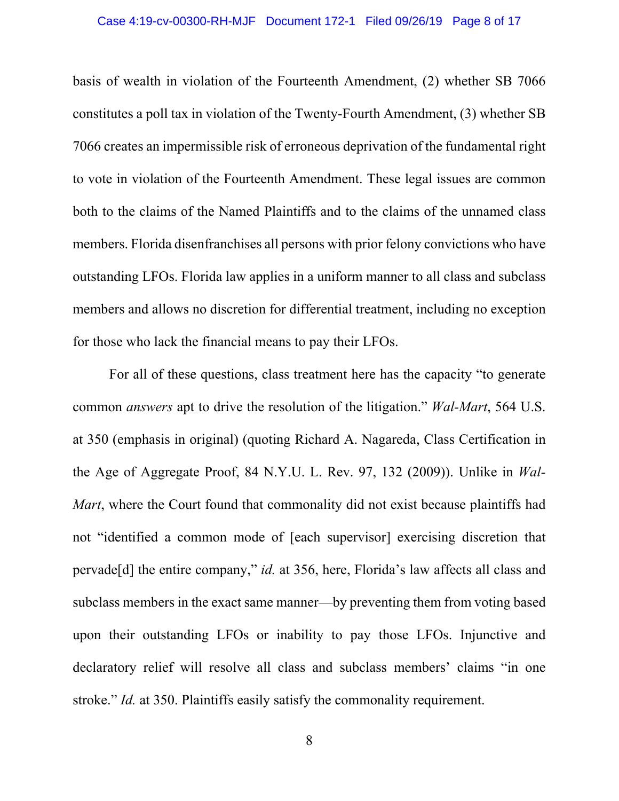#### Case 4:19-cv-00300-RH-MJF Document 172-1 Filed 09/26/19 Page 8 of 17

basis of wealth in violation of the Fourteenth Amendment, (2) whether SB 7066 constitutes a poll tax in violation of the Twenty-Fourth Amendment, (3) whether SB 7066 creates an impermissible risk of erroneous deprivation of the fundamental right to vote in violation of the Fourteenth Amendment. These legal issues are common both to the claims of the Named Plaintiffs and to the claims of the unnamed class members. Florida disenfranchises all persons with prior felony convictions who have outstanding LFOs. Florida law applies in a uniform manner to all class and subclass members and allows no discretion for differential treatment, including no exception for those who lack the financial means to pay their LFOs.

For all of these questions, class treatment here has the capacity "to generate common *answers* apt to drive the resolution of the litigation." *Wal-Mart*, 564 U.S. at 350 (emphasis in original) (quoting Richard A. Nagareda, Class Certification in the Age of Aggregate Proof, 84 N.Y.U. L. Rev. 97, 132 (2009)). Unlike in *Wal-Mart*, where the Court found that commonality did not exist because plaintiffs had not "identified a common mode of [each supervisor] exercising discretion that pervade[d] the entire company," *id.* at 356, here, Florida's law affects all class and subclass members in the exact same manner—by preventing them from voting based upon their outstanding LFOs or inability to pay those LFOs. Injunctive and declaratory relief will resolve all class and subclass members' claims "in one stroke." *Id.* at 350. Plaintiffs easily satisfy the commonality requirement.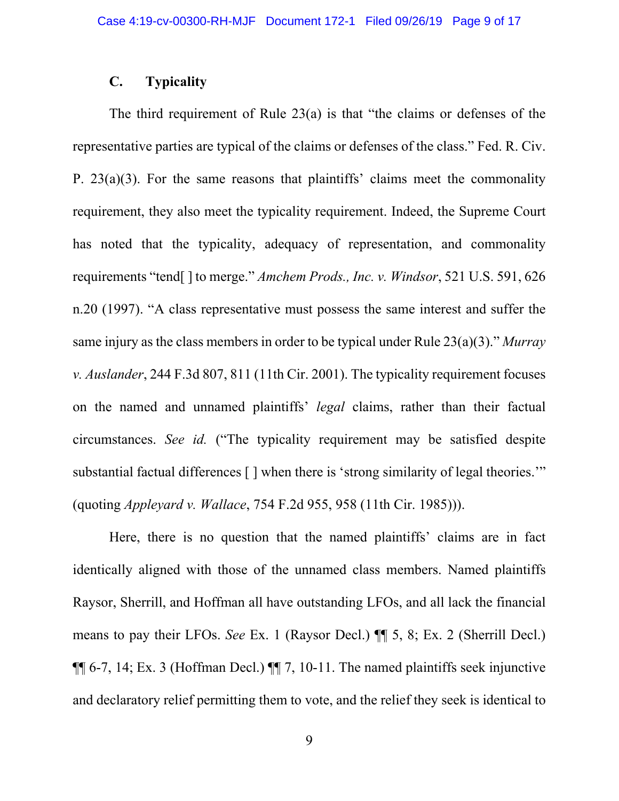## **C. Typicality**

The third requirement of Rule 23(a) is that "the claims or defenses of the representative parties are typical of the claims or defenses of the class." Fed. R. Civ. P. 23(a)(3). For the same reasons that plaintiffs' claims meet the commonality requirement, they also meet the typicality requirement. Indeed, the Supreme Court has noted that the typicality, adequacy of representation, and commonality requirements "tend[ ] to merge." *Amchem Prods., Inc. v. Windsor*, 521 U.S. 591, 626 n.20 (1997). "A class representative must possess the same interest and suffer the same injury as the class members in order to be typical under Rule 23(a)(3)." *Murray v. Auslander*, 244 F.3d 807, 811 (11th Cir. 2001). The typicality requirement focuses on the named and unnamed plaintiffs' *legal* claims, rather than their factual circumstances. *See id.* ("The typicality requirement may be satisfied despite substantial factual differences  $\lceil \cdot \rceil$  when there is 'strong similarity of legal theories.'" (quoting *Appleyard v. Wallace*, 754 F.2d 955, 958 (11th Cir. 1985))).

Here, there is no question that the named plaintiffs' claims are in fact identically aligned with those of the unnamed class members. Named plaintiffs Raysor, Sherrill, and Hoffman all have outstanding LFOs, and all lack the financial means to pay their LFOs. *See* Ex. 1 (Raysor Decl.) ¶¶ 5, 8; Ex. 2 (Sherrill Decl.)  $\P$  6-7, 14; Ex. 3 (Hoffman Decl.)  $\P$  7, 10-11. The named plaintiffs seek injunctive and declaratory relief permitting them to vote, and the relief they seek is identical to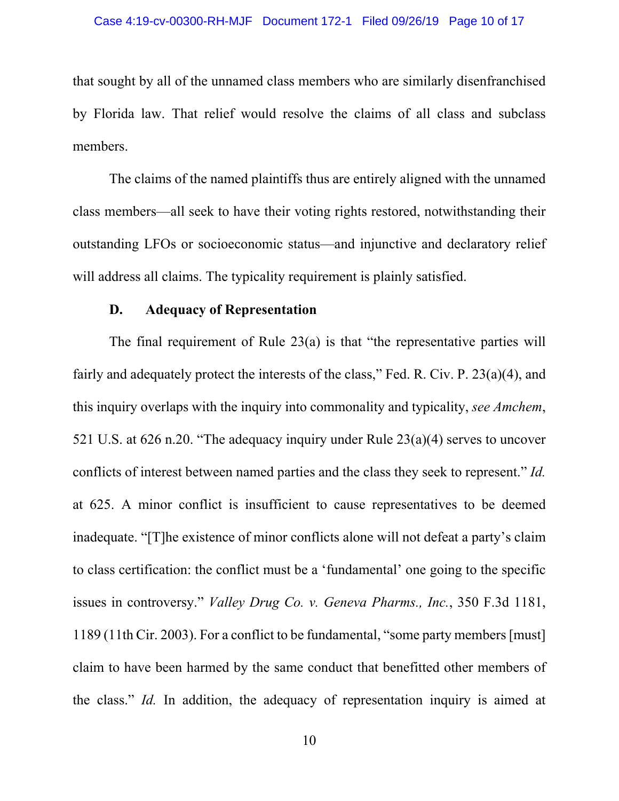that sought by all of the unnamed class members who are similarly disenfranchised by Florida law. That relief would resolve the claims of all class and subclass members.

The claims of the named plaintiffs thus are entirely aligned with the unnamed class members—all seek to have their voting rights restored, notwithstanding their outstanding LFOs or socioeconomic status—and injunctive and declaratory relief will address all claims. The typicality requirement is plainly satisfied.

#### **D. Adequacy of Representation**

The final requirement of Rule  $23(a)$  is that "the representative parties will fairly and adequately protect the interests of the class," Fed. R. Civ. P. 23(a)(4), and this inquiry overlaps with the inquiry into commonality and typicality, *see Amchem*, 521 U.S. at 626 n.20. "The adequacy inquiry under Rule 23(a)(4) serves to uncover conflicts of interest between named parties and the class they seek to represent." *Id.* at 625. A minor conflict is insufficient to cause representatives to be deemed inadequate. "[T]he existence of minor conflicts alone will not defeat a party's claim to class certification: the conflict must be a 'fundamental' one going to the specific issues in controversy." *Valley Drug Co. v. Geneva Pharms., Inc.*, 350 F.3d 1181, 1189 (11th Cir. 2003). For a conflict to be fundamental, "some party members [must] claim to have been harmed by the same conduct that benefitted other members of the class." *Id.* In addition, the adequacy of representation inquiry is aimed at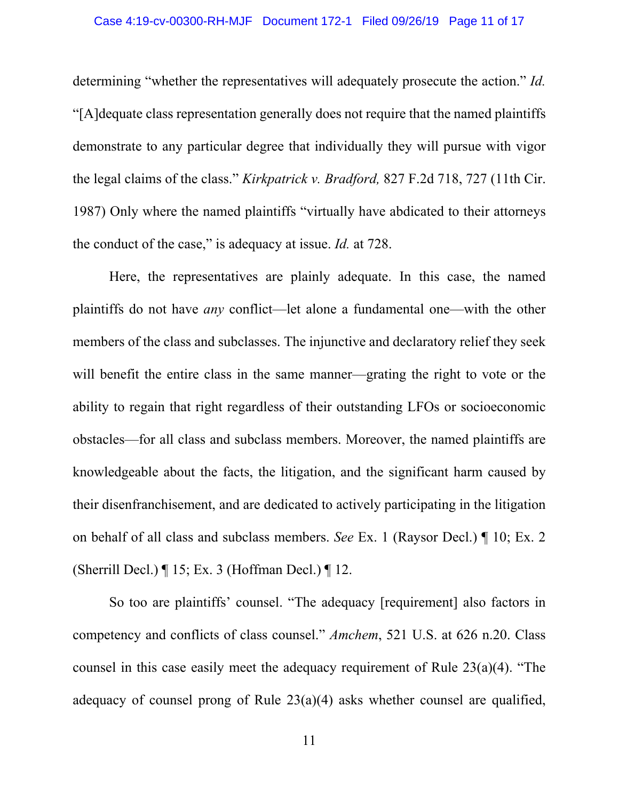determining "whether the representatives will adequately prosecute the action." *Id.* "[A]dequate class representation generally does not require that the named plaintiffs demonstrate to any particular degree that individually they will pursue with vigor the legal claims of the class." *Kirkpatrick v. Bradford,* 827 F.2d 718, 727 (11th Cir. 1987) Only where the named plaintiffs "virtually have abdicated to their attorneys the conduct of the case," is adequacy at issue. *Id.* at 728.

Here, the representatives are plainly adequate. In this case, the named plaintiffs do not have *any* conflict—let alone a fundamental one—with the other members of the class and subclasses. The injunctive and declaratory relief they seek will benefit the entire class in the same manner—grating the right to vote or the ability to regain that right regardless of their outstanding LFOs or socioeconomic obstacles—for all class and subclass members. Moreover, the named plaintiffs are knowledgeable about the facts, the litigation, and the significant harm caused by their disenfranchisement, and are dedicated to actively participating in the litigation on behalf of all class and subclass members. *See* Ex. 1 (Raysor Decl.) ¶ 10; Ex. 2 (Sherrill Decl.)  $\P$  15; Ex. 3 (Hoffman Decl.)  $\P$  12.

So too are plaintiffs' counsel. "The adequacy [requirement] also factors in competency and conflicts of class counsel." *Amchem*, 521 U.S. at 626 n.20. Class counsel in this case easily meet the adequacy requirement of Rule 23(a)(4). "The adequacy of counsel prong of Rule 23(a)(4) asks whether counsel are qualified,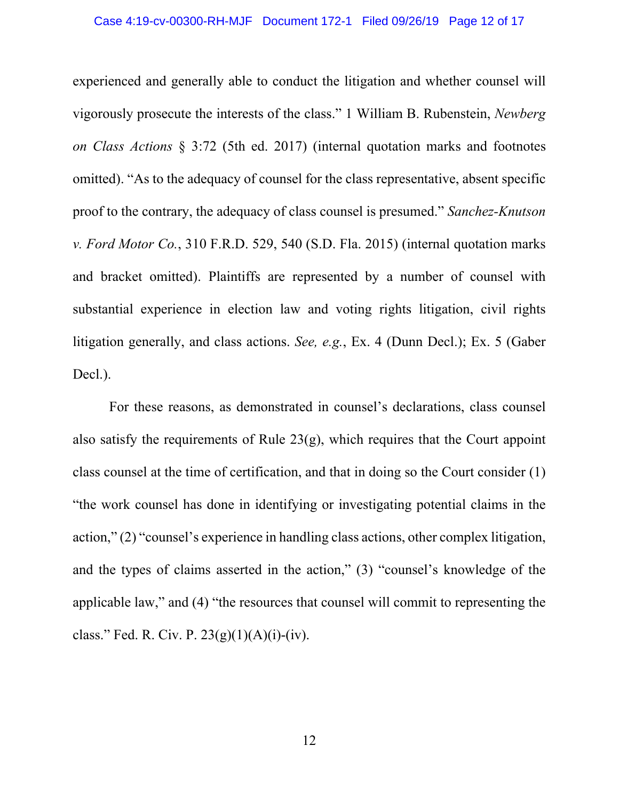experienced and generally able to conduct the litigation and whether counsel will vigorously prosecute the interests of the class." 1 William B. Rubenstein, *Newberg on Class Actions* § 3:72 (5th ed. 2017) (internal quotation marks and footnotes omitted). "As to the adequacy of counsel for the class representative, absent specific proof to the contrary, the adequacy of class counsel is presumed." *Sanchez-Knutson v. Ford Motor Co.*, 310 F.R.D. 529, 540 (S.D. Fla. 2015) (internal quotation marks and bracket omitted). Plaintiffs are represented by a number of counsel with substantial experience in election law and voting rights litigation, civil rights litigation generally, and class actions. *See, e.g.*, Ex. 4 (Dunn Decl.); Ex. 5 (Gaber Decl.).

 For these reasons, as demonstrated in counsel's declarations, class counsel also satisfy the requirements of Rule  $23(g)$ , which requires that the Court appoint class counsel at the time of certification, and that in doing so the Court consider (1) "the work counsel has done in identifying or investigating potential claims in the action," (2) "counsel's experience in handling class actions, other complex litigation, and the types of claims asserted in the action," (3) "counsel's knowledge of the applicable law," and (4) "the resources that counsel will commit to representing the class." Fed. R. Civ. P.  $23(g)(1)(A)(i)$ -(iv).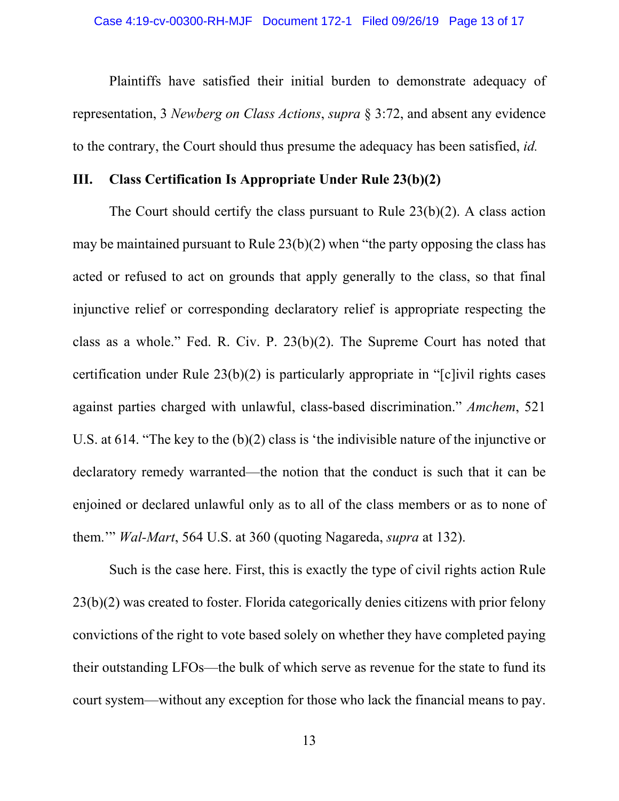Plaintiffs have satisfied their initial burden to demonstrate adequacy of representation, 3 *Newberg on Class Actions*, *supra* § 3:72, and absent any evidence to the contrary, the Court should thus presume the adequacy has been satisfied, *id.*

#### **III. Class Certification Is Appropriate Under Rule 23(b)(2)**

The Court should certify the class pursuant to Rule 23(b)(2). A class action may be maintained pursuant to Rule 23(b)(2) when "the party opposing the class has acted or refused to act on grounds that apply generally to the class, so that final injunctive relief or corresponding declaratory relief is appropriate respecting the class as a whole." Fed. R. Civ. P. 23(b)(2). The Supreme Court has noted that certification under Rule 23(b)(2) is particularly appropriate in "[c]ivil rights cases against parties charged with unlawful, class-based discrimination." *Amchem*, 521 U.S. at 614. "The key to the (b)(2) class is 'the indivisible nature of the injunctive or declaratory remedy warranted—the notion that the conduct is such that it can be enjoined or declared unlawful only as to all of the class members or as to none of them.'" *Wal-Mart*, 564 U.S. at 360 (quoting Nagareda, *supra* at 132).

 Such is the case here. First, this is exactly the type of civil rights action Rule 23(b)(2) was created to foster. Florida categorically denies citizens with prior felony convictions of the right to vote based solely on whether they have completed paying their outstanding LFOs—the bulk of which serve as revenue for the state to fund its court system—without any exception for those who lack the financial means to pay.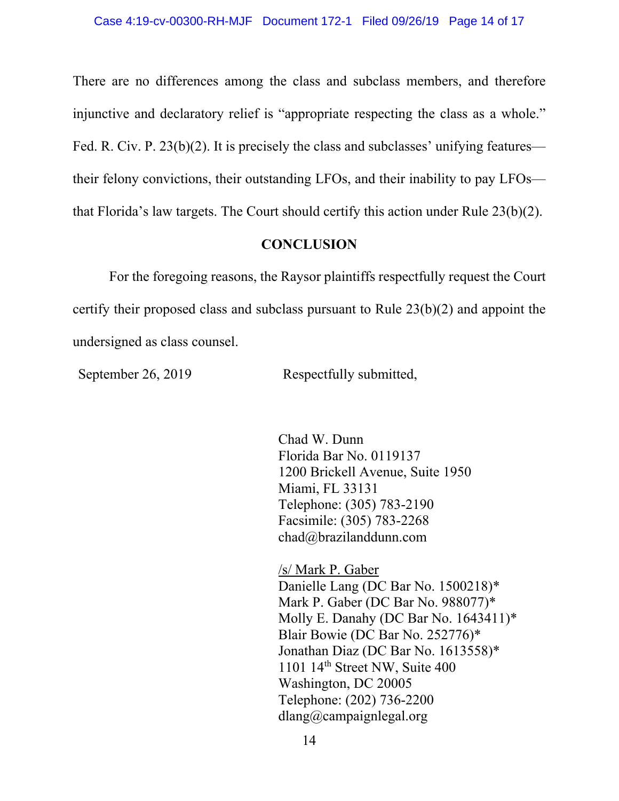There are no differences among the class and subclass members, and therefore injunctive and declaratory relief is "appropriate respecting the class as a whole." Fed. R. Civ. P. 23(b)(2). It is precisely the class and subclasses' unifying features their felony convictions, their outstanding LFOs, and their inability to pay LFOs that Florida's law targets. The Court should certify this action under Rule 23(b)(2).

### **CONCLUSION**

 For the foregoing reasons, the Raysor plaintiffs respectfully request the Court certify their proposed class and subclass pursuant to Rule 23(b)(2) and appoint the undersigned as class counsel.

September 26, 2019 Respectfully submitted,

 Chad W. Dunn Florida Bar No. 0119137 1200 Brickell Avenue, Suite 1950 Miami, FL 33131 Telephone: (305) 783-2190 Facsimile: (305) 783-2268 chad@brazilanddunn.com

/s/ Mark P. Gaber Danielle Lang (DC Bar No. 1500218)\* Mark P. Gaber (DC Bar No. 988077)\* Molly E. Danahy (DC Bar No. 1643411)\* Blair Bowie (DC Bar No. 252776)\* Jonathan Diaz (DC Bar No. 1613558)\* 1101 14<sup>th</sup> Street NW, Suite 400 Washington, DC 20005 Telephone: (202) 736-2200 dlang@campaignlegal.org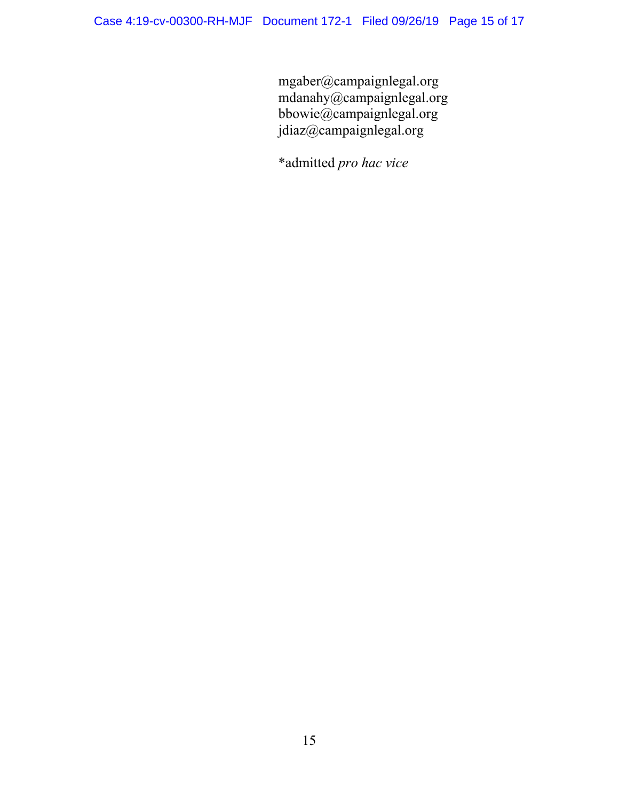mgaber@campaignlegal.org mdanahy@campaignlegal.org bbowie@campaignlegal.org jdiaz@campaignlegal.org

\*admitted *pro hac vice*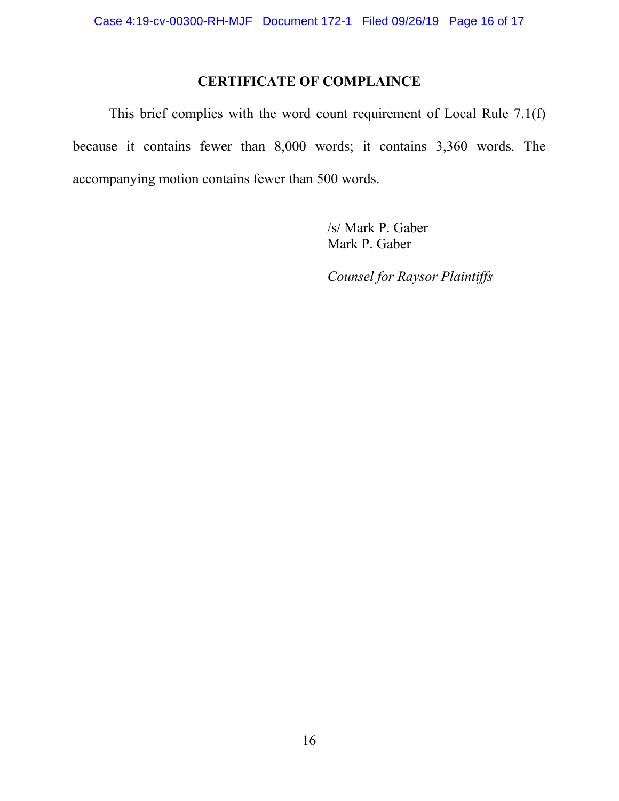## **CERTIFICATE OF COMPLAINCE**

 This brief complies with the word count requirement of Local Rule 7.1(f) because it contains fewer than 8,000 words; it contains 3,360 words. The accompanying motion contains fewer than 500 words.

> /s/ Mark P. Gaber Mark P. Gaber

*Counsel for Raysor Plaintiffs*